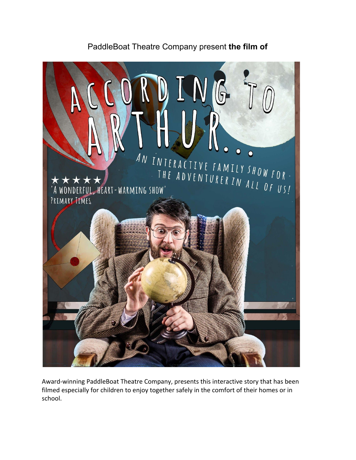## PaddleBoat Theatre Company present **the film of**



Award-winning PaddleBoat Theatre Company, presents this interactive story that has been filmed especially for children to enjoy together safely in the comfort of their homes or in school.